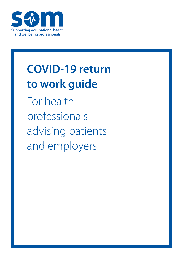

# **COVID-19 return to work guide**

For health professionals advising patients and employers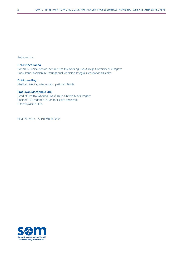Authored by:

#### **Dr Drushca Lalloo**

Honorary Clinical Senior Lecturer, Healthy Working Lives Group, University of Glasgow Consultant Physician in Occupational Medicine, Integral Occupational Health

#### **Dr Munna Roy**

Medical Director, Integral Occupational Health

#### **Prof Ewan Macdonald OBE**

Head of Healthy Working Lives Group, University of Glasgow Chair of UK Academic Forum for Health and Work Director, MacOH Ltd.

REVIEW DATE: SEPTEMBER 2020

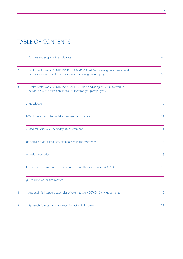# TABLE OF CONTENTS

| 1.               | Purpose and scope of this guidance                                                                                                                     | 4               |
|------------------|--------------------------------------------------------------------------------------------------------------------------------------------------------|-----------------|
| $\overline{2}$ . | Health professionals COVID-19'BRIEF SUMMARY Guide' on advising on return to work<br>in individuals with health conditions / vulnerable group employees | 5               |
| 3.               | Health professionals COVID-19'DETAILED Guide' on advising on return to work in<br>individuals with health conditions / vulnerable group employees      | 10 <sup>°</sup> |
|                  | a. Introduction                                                                                                                                        | 10 <sup>°</sup> |
|                  | b. Workplace transmission risk assessment and control                                                                                                  | 11              |
|                  | c. Medical / clinical vulnerability risk assessment                                                                                                    | 14              |
|                  | d.Overall individualised occupational health risk assessment                                                                                           | 15              |
|                  | e. Health promotion                                                                                                                                    | 18              |
|                  | f. Discussion of employee's ideas, concerns and their expectations (DEICE)                                                                             | 18              |
|                  | g. Return to work (RTW) advice                                                                                                                         | 18              |
| 4.               | Appendix 1: Illustrated examples of return to work COVID-19 risk judgements                                                                            | 19              |
| 5.               | Appendix 2: Notes on workplace risk factors in Figure 4                                                                                                | 21              |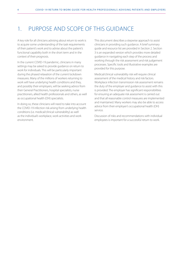### 1. PURPOSE AND SCOPE OF THIS GUIDANCE

A key role for all clinicians advising about return to work is to acquire some understanding of the task requirements of their patient's work and to advise about the patient's functional capability both in the short term and in the context of their prognosis.

In the current COVID-19 pandemic, clinicians in many settings may be asked to provide guidance on return to work for individuals. This will be particularly important during the phased relaxation of the current lockdown measures. Many of the millions of workers returning to work will have underlying health conditions and they, and possibly their employers, will be seeking advice from their General Practitioners, hospital specialists, nurse practitioners, allied health professionals and others, as well as occupational health (OH) specialists.

In doing so, these clinicians will need to take into account the COVID-19 infection risk arising from underlying health conditions (i.e. medical/clinical vulnerability) as well as the individual's workplace, work activities and work environment.

This document describes a stepwise approach to assist clinicians in providing such guidance. A brief summary guide and resource list are provided in Section 2. Section 3 is an expanded version which provides more detailed guidance in navigating each step of the process and working through the risk assessment and risk judgement processes. Specific tools and illustrative examples are provided for this purpose.

Medical/clinical vulnerability risk will require clinical assessment of the medical history and risk factors. Workplace infection transmission risk assessment remains the duty of the employer and guidance to assist with this is provided. The employer has significant responsibilities for ensuring an adequate risk assessment is carried out and that all reasonable control measures are implemented and maintained. Many workers may also be able to access advice from their employer's occupational health (OH) service.

Discussion of risks and recommendations with individual employees is important for a successful return to work.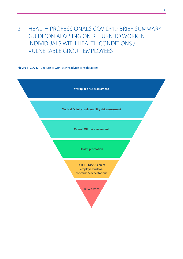# 2. HEALTH PROFESSIONALS COVID-19 'BRIEF SUMMARY GUIDE' ON ADVISING ON RETURN TO WORK IN INDIVIDUALS WITH HEALTH CONDITIONS / VULNERABLE GROUP EMPLOYEES

**Figure 1.** COVID-19 return to work (RTW) advice considerations

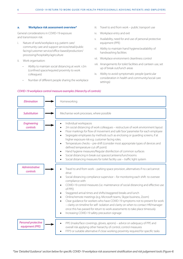#### **a. Workplace risk assessment overview\***

General considerations in COVID-19 exposure and transmission risk:

- i. Nature of work/workplace e.g. patient care/ community care and support services/retail/public facing/customer service/office-based/production/ processing/hospitality/agriculture
- ii. Work organisation:
	- Ability to maintain social distancing at work >2m (confined space/required proximity to work colleagues)
	- Number of different people sharing the workplace
- iii. Travel to and from work public transport use
- iv. Workplace entry and exit
- v. Availability, need for and use of personal protective equipment (PPE)
- vi. Ability to maintain hand hygiene/availability of handwashing facilities
- vii. Workplace environment cleanliness control
- viii. Arrangements for toilet facilities and canteen use, set up of break out/lunch areas
- ix. Ability to avoid symptomatic people (particular consideration in health and community/social care settings)



#### *COVID-19 workplace control measure examples (Hierarchy of controls)*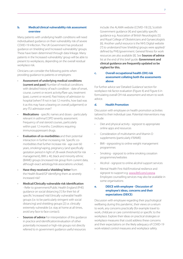#### **b. Medical/clinical vulnerability risk assessment overview**

Many patients with underlying health conditions will need individualised guidance on their vulnerability risk of severe COVID-19 infection. The UK Government has produced guidance on 'shielding' and 'increased vulnerability' groups. These have been determined through data linkage. Many patients in the 'increased vulnerability' group will be able to present to workplaces, depending on the overall residual workplace risk.

Clinicians can consider the following points when providing guidance to patients or employers:

- **Assessment of underlying medical conditions (current and past)** Number of medical conditions with detailed history of each condition - date of onset, course, current or recent activity/flare ups, treatment (past, current or recent). Past history of admission to hospital (when? If not in last 12 months, how bad was it as this may have a bearing on overall judgement) or any ITU admission ever?
- **Medications** specific names and doses particularly relevant in asthma/COPD severity assessment. Frequency of oral steroid courses, particularly within past 12 months. Conditions requiring immunosuppressant drugs.
- **Evaluation of co-morbidities** and their potential interaction in further increasing risk. Specific comorbidities that further increase risk - age over 60 years, smoking/vaping, pregnancy (and specifically gestation period in light of 28-week threshold for risk management), BMI  $\geq$  40, black and minority ethnic (BAME) groups (increased risk group from current data, although exact aetiology/risk associations unclear).
- **Have they received a 'shielding' letter** from the Health Board/GP identifying them as severely increased risk?
- **Medical/Clinically vulnerable risk identification** - Refer to government/Public Health England (PHE) guidance on social distancing [1] for their list of specific 'increased' risk/'clinically vulnerable' health groups (i.e. to be particularly stringent with social distancing) and shielding groups [2] i.e. clinically extremely vulnerable (i.e. stay at home at all times, avoid any face to face contact).
- **Sources of advice** For interpretation of this quidance in practice and identification/evaluation of other potentially increased or high-risk groups not directly referred to in government guidance useful resources

include: the ALAMA website (COVID-19) [3], Scottish Government guidance [4] and speciality specific guidance e.g. Association of British Neurologists [5] and Royal College of Obstetricians and Gynaecologists [6]. Another useful resource is the NHS Digital website [7] to understand how 'shielding' groups were applied/ defined by PHE/government. General fitness for work resources are also available [8]. See **Sources of advice** list at the end of this brief guide. **Government and clinical guidance are frequently updated so be vigilant for this.** 

**c. Overall occupational health (OH) risk assessment collating both the assessments above**

For further advice see 'Detailed Guidance' section for workplace risk factor evaluation (Figure 4) and Figure 6 in formulating overall OH risk assessment and return to work advice.

#### **d. Health Promotion**

Discussion with employee on health promotion activities tailored to their individual case. Potential interventions may include:

- Diet and physical activity signpost to appropriate online apps and resources
- Consideration of multivitamin and Vitamin D supplements (particularly if BAME)
- BMI signposting to online weight management programmes
- Smoking signpost to online smoking cessation programmes/websites
- Alcohol signpost to online alcohol support services
- Mental Health First Aid/Emotional resilience and signpost to support e.g. [www.llttf.com/corona](http://www.llttf.com/corona) Employee counselling services may also be available in some organisations

#### **e. DEICE with employee - Discussion of employee's ideas, concerns and their expectations (DEICE)**

Discussion with employee regarding their psychological wellbeing during this pandemic, their views on a return to work, any concerns practically (for example travel to work, childcare or care commitments) or specific to the workplace. Explore their ideas on practical strategies or workplace measures that could address these concerns and their expectations on the likely adequacy of COVID-19 work-related control measures and workplace safety.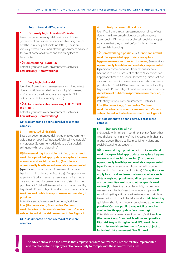#### **f. Return to work (RTW) advice**

#### **1. Extremely high clinical risk/Shielder**

Based on government guidelines (clear cut from government guidelines on specified 'shielding' groups and those in receipt of shielding letters). These are 'clinically extremely vulnerable' and government advice is to 'stay at home at all times and avoid any face to face contact'

#### a**Homeworking REQUIRED**

Potentially suitable work environments/activities: **Low risk only (Homeworking)**

#### **2. Very high clinical risk**

Identified from clinician assessment (combined effect due to multiple comorbidities i.e. multiple 'increased risk' factors or based on advice from specific OH guidance or clinical specialty groups)

#### a**As for shielders - homeworking LIKELY TO BE REQUIRED**

Potentially suitable work environments/activities: **Low risk only (Homeworking)**

#### **OH assessment to be considered, if case more complex**

#### **3. Increased clinical risk**

Based on government guidelines (refer to government guidelines on specified 'increased'/'clinically vulnerable' risk groups). Government advice is to be 'particularly stringent with social distancing'

#### a**Homeworking if possible**, but **if not, can attend workplace provided appropriate workplace hygiene measures and social distancing (2m rule) are operationally feasible/can be reliably implemented**

**(specific** recommendations from menu list above bearing in mind hierarchy of controls) \*Exceptions can apply for critical and essential services e.g. direct patient care and community care where social distancing is not possible, but COVID-19 transmission can be reduced by high-level PPE and diligent hand and workplace hygiene **Avoidance of public transport use recommended, if possible**

Potentially suitable work environments/activities: **Low (Homeworking), Standard or Medium workplace transmission risk environments/tasks subject to individual risk assessment. See Figure 4**

**OH assessment to be considered, if case more complex**

#### **4. Likely increased clinical risk**

Identified from clinician assessment (combined effect due to multiple comorbidities or based on advice from specific OH guidance or clinical specialty groups). Advisable that they should be 'particularly stringent with social distancing'

a**Homeworking if possible,** but **if not, can attend workplace provided appropriate workplace hygiene measures and social distancing** (2m rule) are **operationally feasible/can be reliably implemented (specific** recommendations from menu list above

bearing in mind hierarchy of controls). \*Exceptions can apply for critical and essential services e.g. direct patient care and community care where social distancing is not possible, but COVID-19 transmission can be reduced by high-level PPE and diligent hand and workplace hygiene **Avoidance of public transport use recommended, if possible**

Potentially suitable work environments/activities: **Low (Homeworking), Standard or Medium workplace transmission risk environments/tasks subject to individual risk assessment. See Figure 4**

#### **OH assessment to be considered, if case more complex**

#### **5. Standard clinical risk**

Individuals with no health conditions or risk factors that would place them in any of the increased or higher risk groups above. Should still be practising hygiene and social distancing precautions

a**Homeworking if possible,** but if not, **can attend workplace provided appropriate workplace hygiene measures and social distancing (2m rule) are operationally feasible/can be reliably implemented (specific** recommendations from menu list above bearing in mind hierarchy of controls). **\*Exceptions can apply for critical and essential services where social distancing is not possible** e.g. **direct patient care and community care** but **also other specific work sectors [9**] where the particular activity is considered necessary for the business to continue to operate. **If so**, all mitigating actions possible to reduce workplace transmission risk should be taken and **social distancing**  guidelines should continue to be adhered to, **'wherever possible'. Can use public transport, if cannot be avoided (with appropriate face covering)** Potentially suitable work environments/activities: **Low (Homeworking), Standard, Medium and possibly High risk (e.g. with higher level PPE) workplace transmission risk environments/tasks - subject to individual risk assessment. See Figure 4**

**The advice above is on the proviso that employers ensure control measures are reliably implemented**  The advice above is on the proviso that employers ensure control measures are reliably and maintained and employees also have a duty to comply with these control measures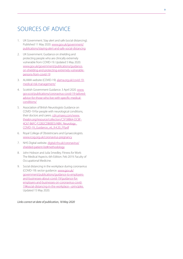## SOURCES OF ADVICE

- 1. UK Government. Stay alert and safe (social distancing). Published 11 May 2020. [www.gov.uk/government/](http://www.gov.uk/government/publications/staying-alert-and-safe-social-distancing) [publications/staying-alert-and-safe-social-distancing](http://www.gov.uk/government/publications/staying-alert-and-safe-social-distancing)
- 2. UK Government. Guidance on shielding and protecting people who are clinically extremely vulnerable from COVID-19. Updated 5 May 2020. [www.gov.uk/government/publications/guidance](https://www.gov.uk/government/publications/guidance-on-shielding-and-protecting-extremely-vulnerable-persons-from-covid-19)[on-shielding-and-protecting-extremely-vulnerable](https://www.gov.uk/government/publications/guidance-on-shielding-and-protecting-extremely-vulnerable-persons-from-covid-19)[persons-from-covid-19](https://www.gov.uk/government/publications/guidance-on-shielding-and-protecting-extremely-vulnerable-persons-from-covid-19)
- 3. ALAMA website (COVID-19). [alama.org.uk/covid-19](https://alama.org.uk/covid-19-medical-risk-management/) [medical-risk-management/](https://alama.org.uk/covid-19-medical-risk-management/)
- 4. Scottish Government Guidance. 3 April 2020. [www.](https://www.gov.scot/publications/coronavirus-covid-19-tailored-advice-for-those-who-live-with-specific-medical-conditions/) [gov.scot/publications/coronavirus-covid-19-tailored](https://www.gov.scot/publications/coronavirus-covid-19-tailored-advice-for-those-who-live-with-specific-medical-conditions/)[advice-for-those-who-live-with-specific-medical](https://www.gov.scot/publications/coronavirus-covid-19-tailored-advice-for-those-who-live-with-specific-medical-conditions/)[conditions/](https://www.gov.scot/publications/coronavirus-covid-19-tailored-advice-for-those-who-live-with-specific-medical-conditions/)
- 5. Association of British Neurologists Guidance on COVID-19 for people with neurological conditions, their doctors and carers. [cdn.ymaws.com/www.](https://cdn.ymaws.com/www.theabn.org/resource/collection/C5F38B64-DC8F-4C67-B6FC-F22B2CDB0EE5/ABN_Neurology_COVID-19_Guidance_v6_9.4.20_FP.pdf) [theabn.org/resource/collection/C5F38B64-DC8F-](https://cdn.ymaws.com/www.theabn.org/resource/collection/C5F38B64-DC8F-4C67-B6FC-F22B2CDB0EE5/ABN_Neurology_COVID-19_Guidance_v6_9.4.20_FP.pdf)[4C67-B6FC-F22B2CDB0EE5/ABN\\_Neurology\\_](https://cdn.ymaws.com/www.theabn.org/resource/collection/C5F38B64-DC8F-4C67-B6FC-F22B2CDB0EE5/ABN_Neurology_COVID-19_Guidance_v6_9.4.20_FP.pdf) [COVID-19\\_Guidance\\_v6\\_9.4.20\\_FP.pdf](https://cdn.ymaws.com/www.theabn.org/resource/collection/C5F38B64-DC8F-4C67-B6FC-F22B2CDB0EE5/ABN_Neurology_COVID-19_Guidance_v6_9.4.20_FP.pdf)
- 6. Royal College of Obstetricians and Gynaecologists. [www.rcog.org.uk/coronavirus-pregnancy](https://www.rcog.org.uk/coronavirus-pregnancy)
- 7. NHS Digital website. [digital.nhs.uk/coronavirus/](https://digital.nhs.uk/coronavirus/shielded-patient-list#methodology) [shielded-patient-list#methodology](https://digital.nhs.uk/coronavirus/shielded-patient-list#methodology)
- 8. John Hobson and Julia Smedley. Fitness for Work: The Medical Aspects. 6th Edition. Feb 2019. Faculty of Occupational Medicine.
- 9. Social distancing in the workplace during coronavirus (COVID-19): sector guidance. [www.gov.uk/](https://www.gov.uk/government/publications/guidance-to-employers-and-businesses-about-covid-19/guidance-for-employers-and-businesses-on-coronavirus-covid-19#social-distancing-in-the-workplace---principles) [government/publications/guidance-to-employers](https://www.gov.uk/government/publications/guidance-to-employers-and-businesses-about-covid-19/guidance-for-employers-and-businesses-on-coronavirus-covid-19#social-distancing-in-the-workplace---principles)[and-businesses-about-covid-19/guidance-for](https://www.gov.uk/government/publications/guidance-to-employers-and-businesses-about-covid-19/guidance-for-employers-and-businesses-on-coronavirus-covid-19#social-distancing-in-the-workplace---principles)[employers-and-businesses-on-coronavirus-covid-](https://www.gov.uk/government/publications/guidance-to-employers-and-businesses-about-covid-19/guidance-for-employers-and-businesses-on-coronavirus-covid-19#social-distancing-in-the-workplace---principles)[19#social-distancing-in-the-workplace---principles](https://www.gov.uk/government/publications/guidance-to-employers-and-businesses-about-covid-19/guidance-for-employers-and-businesses-on-coronavirus-covid-19#social-distancing-in-the-workplace---principles)  Updated 15 May 2020.

*Links correct at date of publication, 18 May 2020*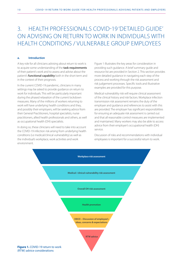# 3. HEALTH PROFESSIONALS COVID-19 'DETAILED GUIDE' ON ADVISING ON RETURN TO WORK IN INDIVIDUALS WITH HEALTH CONDITIONS / VULNERABLE GROUP EMPLOYEES

#### **a. Introduction**

A key role for all clinicians advising about return to work is to acquire some understanding of the **task requirements** of their patient's work and to assess and advise about the patient's **functional capability** both in the short term and in the context of their prognosis.

In the current COVID-19 pandemic, clinicians in many settings may be asked to provide guidance on return to work for individuals. This will be particularly important during the phased relaxation of the current lockdown measures. Many of the millions of workers returning to work will have underlying health conditions and they, and possibly their employers, will be seeking advice from their General Practitioners, hospital specialists, nurse practitioners, allied health professionals and others, as well as occupational health (OH) specialists.

In doing so, these clinicians will need to take into account the COVID-19 infection risk arising from underlying health conditions (i.e medical/clinical vulnerability) as well as the individual's workplace, work activities and work environment.

Figure 1 illustrates the key areas for consideration in providing such guidance. A brief summary guide and resource list are provided in Section 2. This section provides more detailed guidance in navigating each step of the process and working through the risk assessment and risk judgement processes. Specific tools and illustrative examples are provided for this purpose.

Medical vulnerability risk will require clinical assessment of the clinical history and risk factors. Workplace infection transmission risk assessment remains the duty of the employer and guidance and references to assist with this are provided. The employer has significant responsibilities for ensuring an adequate risk assessment is carried out and that all reasonable control measures are implemented and maintained. Many workers may also be able to access advice from their employer's occupational health (OH) service.

Discussion of risks and recommendations with individual employees is important for a successful return to work.

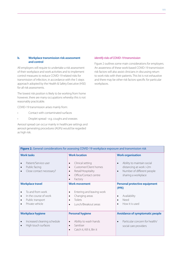#### **b. Workplace transmission risk assessment and control**

All employers will require to undertake a risk assessment of their workplace and work activities and to implement control measures to reduce COVID-19 related risks for transmission of infection, in accordance with the 5 steps approach adopted by the Health & Safety Executive (HSE) for all risk assessments.

The lowest risk position is likely to be working from home however, there are many occupations whereby this is not reasonably practicable.

COVID-19 transmission arises mainly from:

- Contact with contaminated surfaces
- Droplet spread e.g. coughs and sneezes

Aerosol spread can occur mainly in healthcare settings and aerosol generating procedures (AGPs) would be regarded as high risk.

#### *Identify risks of COVID-19 transmission*

Figure 2 outlines some main considerations for employers. An awareness of these work-based COVID-19 transmission risk factors will also assist clinicians in discussing return to work risks with their patients. This list is not exhaustive and there may be other risk factors specific for particular workplaces.

| Figure 2. General considerations for assessing COVID-19 workplace exposure and transmission risk                         |                                                                                                                                               |                                                                                                                                |  |  |  |
|--------------------------------------------------------------------------------------------------------------------------|-----------------------------------------------------------------------------------------------------------------------------------------------|--------------------------------------------------------------------------------------------------------------------------------|--|--|--|
| <b>Work tasks</b><br>Patient/Service user<br>$\bullet$                                                                   | <b>Work location</b><br>Clinical setting<br>$\bullet$                                                                                         | <b>Work organisation</b><br>Ability to maintain social<br>$\bullet$                                                            |  |  |  |
| Public facing<br>$\bullet$<br>Close contact necessary?                                                                   | Customer/Client homes<br>$\bullet$<br>Retail/Hospitality<br>$\bullet$<br>Office/Contact centre<br>$\bullet$<br>Factory<br>$\bullet$           | distancing at work >2m<br>Number of different people<br>$\bullet$<br>sharing a workplace                                       |  |  |  |
| <b>Workplace travel</b><br>To and from work<br>$\bullet$<br>In the course of work<br>Public transport<br>Private vehicle | <b>Work movement</b><br>Entering and leaving work<br>$\bullet$<br>Changing areas<br>$\bullet$<br>Toilets<br>Lunch/Breakout areas<br>$\bullet$ | <b>Personal protective equipment</b><br>(PPE)<br>Availability<br>$\bullet$<br>Need<br>$\bullet$<br>How it is used<br>$\bullet$ |  |  |  |
| <b>Workplace hygiene</b><br>Increased cleaning schedule<br>$\bullet$<br>High touch surfaces                              | <b>Personal hygiene</b><br>Ability to wash hands<br>$\bullet$<br>Sanitiser<br>$\bullet$<br>Catch it, Kill it, Bin it<br>$\bullet$             | <b>Avoidance of symptomatic people</b><br>Particular concern for health/<br>$\bullet$<br>social care providers                 |  |  |  |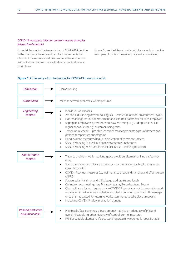#### *COVID-19 workplace infection control measure examples (Hierarchy of controls)*

Once risk factors for the transmission of COVID-19 infection in the workplace have been identified, implementation of control measures should be considered to reduce this risk. Not all controls will be applicable or practicable in all workplaces.

Figure 3 uses the Hierarchy of control approach to provide examples of control measures that can be considered.

#### **Figure 3.** A Hierarchy of control model for COVID-19 transmission risk

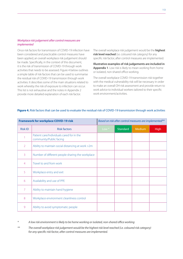#### *Workplace risk judgement after control measures are implemented*

Once risk factors for transmission of COVID-19 infection have been considered and practicable control measures have been applied, an overall workplace risk judgement should be made. Specifically, in the context of this document, it is the risk of transmission of COVID-19 through work activities that needs to be assessed. Figure 4 below outlines a simple table of risk factors that can be used to summarise the residual risk of COVID-19 transmission through work activities. It describes some of the main situations related to work whereby the risk of exposure to infection can occur. This list is not exhaustive and the notes in Appendix 2 provide more detailed explanation of each risk factor.

The overall workplace risk judgement would be the **highest risk level reached** (i.e. coloured risk category) for any specific risk factor, after control measures are implemented.

**Illustrative examples of risk judgements are included in Appendix 1**. Low risk is likely to mean working from home or isolated, non-shared office working.

The overall workplace COVID-19 transmission risk together with the medical vulnerability risk will be necessary in order to make an overall OH risk assessment and provide return to work advice to individual workers tailored to their specific work environment/activities.

| <b>Framework for workplace COVID-19 risk</b> |                                                                      | Based on risk after control measures are implemented** |                 |        |             |
|----------------------------------------------|----------------------------------------------------------------------|--------------------------------------------------------|-----------------|--------|-------------|
| <b>Risk ID</b>                               | <b>Risk factors</b>                                                  | Low <sup>*</sup>                                       | <b>Standard</b> | Medium | <b>High</b> |
|                                              | Patient care/Individuals cared for in the<br>community/Public facing |                                                        |                 |        |             |
| $\overline{2}$                               | Ability to maintain social distancing at work >2m                    |                                                        |                 |        |             |
| 3                                            | Number of different people sharing the workplace                     |                                                        |                 |        |             |
| $\overline{4}$                               | Travel to and from work                                              |                                                        |                 |        |             |
| 5                                            | Workplace entry and exit                                             |                                                        |                 |        |             |
| 6                                            | Availability and use of PPE                                          |                                                        |                 |        |             |
| $\overline{7}$                               | Ability to maintain hand hygiene                                     |                                                        |                 |        |             |
| 8                                            | Workplace environment cleanliness control                            |                                                        |                 |        |             |
| 9                                            | Ability to avoid symptomatic people                                  |                                                        |                 |        |             |

#### **Figure 4.** Risk factors that can be used to evaluate the residual risk of COVID-19 transmission through work activities

*\* A low risk environment is likely to be home working or isolated, non-shared office working*

*\*\* The overall workplace risk judgement would be the highest risk level reached (i.e. coloured risk category) for any specific risk factor, after control measures are implemented.*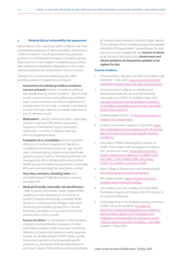#### **c. Medical/clinical vulnerability risk assessment**

Many patients with underlying health conditions will need individualised guidance on their vulnerability risk of severe COVID-19 infection. The UK government has produced guidance on shielding and increased vulnerability groups. Many patients in the increased vulnerability group will be able to present to workplaces, depending on the overall residual workplace risk, as described in Section b above.

Clinicians can consider the following points when providing guidance to patients or employers:

- **Assessment of underlying medical conditions (current and past)** Number of medical conditions with detailed history of each condition - date of onset, course, current or recent activity/flare ups, treatment (past, current or recent). Past history of admission to hospital (when? If not in last 12 months, how bad was it as this may have a bearing on overall judgement) or any ITU admission ever?
- **Medications** specific names and doses particularly relevant in asthma/COPD severity assessment. Frequency of oral steroid courses, particularly within past 12 months. Conditions requiring immunosuppressant drugs.
- **Evaluation of co-morbidities** and their potential interaction in further increasing risk. Specific comorbidities that further increase risk - age over 60 years, smoking/vaping, pregnancy (and specifically gestation period in light of 28-week threshold for risk management), BMI  $\geq$  40, black and minority ethnic (BAME) groups (increased risk group from current data, although exact aetiology/risk associations unclear).
- **Have they received a 'shielding' letter** from the Health Board/GP identifying them as severely increased risk?
- **Medical/Clinically vulnerable risk identification** - Refer to government/Public Health England (PHE) guidance on social distancing [1] for their list of specific 'increased' risk/'clinically vulnerable' health groups (i.e. to be particularly stringent with social distancing) and shielding groups [2] i.e. clinically extremely vulnerable (i.e. stay at home at all times, avoid any face to face contact).
- **Sources of advice** For interpretation of this guidance in practice and identification/evaluation of other potentially increased or high-risk groups not directly referred to in government guidance useful resources include: the ALAMA website (COVID-19) [3], Scottish Government guidance [4] and speciality specific guidance e.g. Association of British Neurologists [5] and Royal College of Obstetricians and Gynaecologists

[6]. Another useful resource is the NHS Digital website [7] to understand how 'shielding' groups were applied/ defined by PHE/government. General fitness for work resources are also available [8]. See **Sources of advice** list at the end of this brief guide. **Government and clinical guidance are frequently updated so be vigilant for this.** 

#### **Sources of advice**

- 1. UK Government. Stay alert and safe (social distancing). Published 11 May 2020. [www.gov.uk/government/](http://www.gov.uk/government/publications/staying-alert-and-safe-social-distancing) [publications/staying-alert-and-safe-social-distancing](http://www.gov.uk/government/publications/staying-alert-and-safe-social-distancing)
- 2. UK Government. Guidance on shielding and protecting people who are clinically extremely vulnerable from COVID-19. Updated 5 May 2020. [www.gov.uk/government/publications/guidance](https://www.gov.uk/government/publications/guidance-on-shielding-and-protecting-extremely-vulnerable-persons-from-covid-19)[on-shielding-and-protecting-extremely-vulnerable](https://www.gov.uk/government/publications/guidance-on-shielding-and-protecting-extremely-vulnerable-persons-from-covid-19)[persons-from-covid-19](https://www.gov.uk/government/publications/guidance-on-shielding-and-protecting-extremely-vulnerable-persons-from-covid-19)
- 3. ALAMA website (COVID-19). [alama.org.uk/covid-19](https://alama.org.uk/covid-19-medical-risk-management/) [medical-risk-management/](https://alama.org.uk/covid-19-medical-risk-management/)
- 4. Scottish Government Guidance. 3 April 2020. [www.](https://www.gov.scot/publications/coronavirus-covid-19-tailored-advice-for-those-who-live-with-specific-medical-conditions/) [gov.scot/publications/coronavirus-covid-19-tailored](https://www.gov.scot/publications/coronavirus-covid-19-tailored-advice-for-those-who-live-with-specific-medical-conditions/)[advice-for-those-who-live-with-specific-medical](https://www.gov.scot/publications/coronavirus-covid-19-tailored-advice-for-those-who-live-with-specific-medical-conditions/)[conditions/](https://www.gov.scot/publications/coronavirus-covid-19-tailored-advice-for-those-who-live-with-specific-medical-conditions/)
- 5. Association of British Neurologists Guidance on COVID-19 for people with neurological conditions, their doctors and carers. [cdn.ymaws.com/www.](https://cdn.ymaws.com/www.theabn.org/resource/collection/C5F38B64-DC8F-4C67-B6FC-F22B2CDB0EE5/ABN_Neurology_COVID-19_Guidance_v6_9.4.20_FP.pdf) [theabn.org/resource/collection/C5F38B64-DC8F-](https://cdn.ymaws.com/www.theabn.org/resource/collection/C5F38B64-DC8F-4C67-B6FC-F22B2CDB0EE5/ABN_Neurology_COVID-19_Guidance_v6_9.4.20_FP.pdf)[4C67-B6FC-F22B2CDB0EE5/ABN\\_Neurology\\_](https://cdn.ymaws.com/www.theabn.org/resource/collection/C5F38B64-DC8F-4C67-B6FC-F22B2CDB0EE5/ABN_Neurology_COVID-19_Guidance_v6_9.4.20_FP.pdf) [COVID-19\\_Guidance\\_v6\\_9.4.20\\_FP.pdf](https://cdn.ymaws.com/www.theabn.org/resource/collection/C5F38B64-DC8F-4C67-B6FC-F22B2CDB0EE5/ABN_Neurology_COVID-19_Guidance_v6_9.4.20_FP.pdf)
- 6. Royal College of Obstetricians and Gynaecologists. [www.rcog.org.uk/coronavirus-pregnancy](https://www.rcog.org.uk/coronavirus-pregnancy)
- 7. NHS Digital website. [digital.nhs.uk/coronavirus/](https://digital.nhs.uk/coronavirus/shielded-patient-list#methodology) [shielded-patient-list#methodology](https://digital.nhs.uk/coronavirus/shielded-patient-list#methodology)
- 8. John Hobson and Julia Smedley. Fitness for Work: The Medical Aspects. 6th Edition. Feb 2019. Faculty of Occupational Medicine.
- 9. Social distancing in the workplace during coronavirus (COVID-19): sector guidance. [www.gov.uk/](https://www.gov.uk/government/publications/guidance-to-employers-and-businesses-about-covid-19/guidance-for-employers-and-businesses-on-coronavirus-covid-19#social-distancing-in-the-workplace---principles) [government/publications/guidance-to-employers](https://www.gov.uk/government/publications/guidance-to-employers-and-businesses-about-covid-19/guidance-for-employers-and-businesses-on-coronavirus-covid-19#social-distancing-in-the-workplace---principles)[and-businesses-about-covid-19/guidance-for](https://www.gov.uk/government/publications/guidance-to-employers-and-businesses-about-covid-19/guidance-for-employers-and-businesses-on-coronavirus-covid-19#social-distancing-in-the-workplace---principles)[employers-and-businesses-on-coronavirus-covid-](https://www.gov.uk/government/publications/guidance-to-employers-and-businesses-about-covid-19/guidance-for-employers-and-businesses-on-coronavirus-covid-19#social-distancing-in-the-workplace---principles)[19#social-distancing-in-the-workplace---principles](https://www.gov.uk/government/publications/guidance-to-employers-and-businesses-about-covid-19/guidance-for-employers-and-businesses-on-coronavirus-covid-19#social-distancing-in-the-workplace---principles)  Updated 15 May 2020.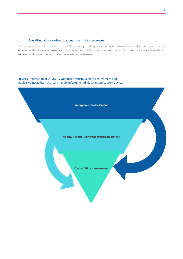#### **d. Overall individualised occupational health risk assessment**

The main objective of this guide is to assist clinicians in providing individual patient advice on return to work. Figure 6 details return to work advice recommendations taking into account both work transmission risk and medical/clinical vulnerability risk levels and Figure 5 demonstrates the interaction of these factors.

**Figure 5**. Interaction of COVID-19 workplace transmission risk assessment and medical vulnerability risk assessment in informing individual return to work advice.

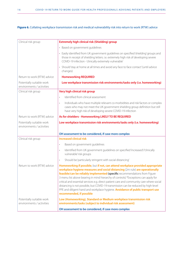#### **Figure 6.** Collating workplace transmission risk and medical vulnerability risk into return to work (RTW) advice

| Clinical risk group                                    | <b>Extremely high clinical risk (Shielding) group</b>                                                                                                                                                                                                                                                                                                                                                                                                                                                                                                                                                                              |  |  |  |
|--------------------------------------------------------|------------------------------------------------------------------------------------------------------------------------------------------------------------------------------------------------------------------------------------------------------------------------------------------------------------------------------------------------------------------------------------------------------------------------------------------------------------------------------------------------------------------------------------------------------------------------------------------------------------------------------------|--|--|--|
|                                                        | • Based on government guidelines                                                                                                                                                                                                                                                                                                                                                                                                                                                                                                                                                                                                   |  |  |  |
|                                                        | • Easily identified from UK government guidelines on specified 'shielding' groups and<br>those in receipt of shielding letters. i.e. extremely high risk of developing severe<br>COVID-19 infection - 'clinically extremely vulnerable'                                                                                                                                                                                                                                                                                                                                                                                            |  |  |  |
|                                                        | • Should'stay at home at all times and avoid any face to face contact' (until advice<br>changes)                                                                                                                                                                                                                                                                                                                                                                                                                                                                                                                                   |  |  |  |
| Return to work (RTW) advice                            | <b>Homeworking REQUIRED</b>                                                                                                                                                                                                                                                                                                                                                                                                                                                                                                                                                                                                        |  |  |  |
| Potentially suitable work<br>environments / activities | Low workplace transmission risk environments/tasks only (i.e. homeworking)                                                                                                                                                                                                                                                                                                                                                                                                                                                                                                                                                         |  |  |  |
| Clinical risk group                                    | Very high clinical risk group                                                                                                                                                                                                                                                                                                                                                                                                                                                                                                                                                                                                      |  |  |  |
|                                                        | Identified from clinical assessment<br>$\bullet$                                                                                                                                                                                                                                                                                                                                                                                                                                                                                                                                                                                   |  |  |  |
|                                                        | Individuals who have multiple relevant co-morbidities and risk factors or complex<br>$\bullet$<br>cases who may not meet the UK government shielding group definition but still<br>have very high risk of developing severe COVID-19 infection                                                                                                                                                                                                                                                                                                                                                                                     |  |  |  |
| Return to work (RTW) advice                            | As for shielders - Homeworking LIKELY TO BE REQUIRED                                                                                                                                                                                                                                                                                                                                                                                                                                                                                                                                                                               |  |  |  |
| Potentially suitable work                              | Low workplace transmission risk environments/tasks only (i.e. homeworking)                                                                                                                                                                                                                                                                                                                                                                                                                                                                                                                                                         |  |  |  |
| environments / activities                              |                                                                                                                                                                                                                                                                                                                                                                                                                                                                                                                                                                                                                                    |  |  |  |
|                                                        | OH assessment to be considered, if case more complex                                                                                                                                                                                                                                                                                                                                                                                                                                                                                                                                                                               |  |  |  |
| Clinical risk group                                    | <b>Increased clinical risk</b>                                                                                                                                                                                                                                                                                                                                                                                                                                                                                                                                                                                                     |  |  |  |
|                                                        | Based on government guidelines<br>$\bullet$                                                                                                                                                                                                                                                                                                                                                                                                                                                                                                                                                                                        |  |  |  |
|                                                        | Identified from UK government guidelines on specified 'increased'/'clinically<br>$\bullet$<br>vulnerable' risk groups                                                                                                                                                                                                                                                                                                                                                                                                                                                                                                              |  |  |  |
|                                                        | Should be 'particularly stringent with social distancing'<br>$\bullet$                                                                                                                                                                                                                                                                                                                                                                                                                                                                                                                                                             |  |  |  |
| Return to work (RTW) advice                            | Homeworking if possible, but if not, can attend workplace provided appropriate<br>workplace hygiene measures and social distancing (2m rule) are operationally<br>feasible/can be reliably implemented (specific recommendations from Figure<br>3 menu list above bearing in mind hierarchy of controls) *Exceptions can apply for<br>critical and essential services e.g. direct patient care and community care where social<br>distancing is not possible, but COVID-19 transmission can be reduced by high-level<br>PPE and diligent hand and workplace hygiene. Avoidance of public transport use<br>recommended, if possible |  |  |  |
| Potentially suitable work<br>environments / activities | Low (Homeworking), Standard or Medium workplace transmission risk<br>environments/tasks (subject to individual risk assessment)                                                                                                                                                                                                                                                                                                                                                                                                                                                                                                    |  |  |  |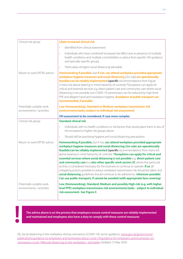| Clinical risk group                                    | <b>Likely increased clinical risk</b>                                                                                                                                                                                                                                                                                                                                                                                                                                                                                                                                                                                                                                                                                                                                                                                                                                         |
|--------------------------------------------------------|-------------------------------------------------------------------------------------------------------------------------------------------------------------------------------------------------------------------------------------------------------------------------------------------------------------------------------------------------------------------------------------------------------------------------------------------------------------------------------------------------------------------------------------------------------------------------------------------------------------------------------------------------------------------------------------------------------------------------------------------------------------------------------------------------------------------------------------------------------------------------------|
|                                                        | Identified from clinical assessment<br>$\bullet$                                                                                                                                                                                                                                                                                                                                                                                                                                                                                                                                                                                                                                                                                                                                                                                                                              |
|                                                        | Individuals who have combined 'increased risk' effect due to presence of multiple<br>$\bullet$<br>health conditions and multiple comorbidities or advice from specific OH guidance<br>and specialty specific groups                                                                                                                                                                                                                                                                                                                                                                                                                                                                                                                                                                                                                                                           |
|                                                        | 'Particularly stringent social distancing' advisable<br>$\bullet$                                                                                                                                                                                                                                                                                                                                                                                                                                                                                                                                                                                                                                                                                                                                                                                                             |
| Return to work (RTW) advice                            | Homeworking if possible, but if not, can attend workplace provided appropriate<br>workplace hygiene measures and social distancing (2m rule) are operationally<br>feasible/can be reliably implemented (specific recommendations from Figure<br>3 menu list above bearing in mind hierarchy of controls) *Exceptions can apply for<br>critical and essential services e.g. direct patient care and community care where social<br>distancing is not possible, but COVID-19 transmission can be reduced by high-level<br>PPE and diligent hand and workplace hygiene. Avoidance of public transport use<br>recommended, if possible                                                                                                                                                                                                                                            |
| Potentially suitable work<br>environments / activities | Low (Homeworking), Standard or Medium workplace transmission risk<br>environments/tasks (subject to individual risk assessment)                                                                                                                                                                                                                                                                                                                                                                                                                                                                                                                                                                                                                                                                                                                                               |
|                                                        | OH assessment to be considered, if case more complex                                                                                                                                                                                                                                                                                                                                                                                                                                                                                                                                                                                                                                                                                                                                                                                                                          |
| Clinical risk group                                    | <b>Standard clinical risk</b>                                                                                                                                                                                                                                                                                                                                                                                                                                                                                                                                                                                                                                                                                                                                                                                                                                                 |
|                                                        | Individuals with no health conditions or risk factors that would place them in any of<br>$\bullet$<br>the increased or higher risk groups above                                                                                                                                                                                                                                                                                                                                                                                                                                                                                                                                                                                                                                                                                                                               |
|                                                        | Should still be practising hygiene and social distancing precautions<br>$\bullet$                                                                                                                                                                                                                                                                                                                                                                                                                                                                                                                                                                                                                                                                                                                                                                                             |
| Return to work (RTW) advice                            | Homeworking if possible, but if not, can attend workplace provided appropriate<br>workplace hygiene measures and social distancing (2m rule) are operationally<br>feasible/can be reliably implemented (specific recommendations from menu list<br>above bearing in mind hierarchy of controls). *Exceptions can apply for critical and<br>essential services where social distancing is not possible e.g. direct patient care<br>and community care but also other specific work sectors [9] where the particular<br>activity is considered necessary for the business to continue to operate. If so, all<br>mitigating actions possible to reduce workplace transmission risk should be taken and<br>social distancing guidelines should continue to be adhered to, 'wherever possible'.<br>Can use public transport, if cannot be avoided (with appropriate face covering) |
| Potentially suitable work<br>environments / activities | Low (Homeworking), Standard, Medium and possibly High risk (e.g. with higher<br>level PPE) workplace transmission risk environments/tasks - subject to individual<br>risk assessment. See Figure 4                                                                                                                                                                                                                                                                                                                                                                                                                                                                                                                                                                                                                                                                            |

**The advice above is on the proviso that employers ensure control measures are reliably implemented**  The advice above is on the proviso that employers ensure control measures are reliably and maintained and employees also have a duty to comply with these control measures

[9]. Social distancing in the workplace during coronavirus (COVID-19): sector guidance. [www.gov.uk/government/](https://www.gov.uk/government/publications/guidance-to-employers-and-businesses-about-covid-19/guidance-for-employers-and-businesses-on-coronavirus-covid-19#social-distancing-in-the-workplace---principles) [publications/guidance-to-employers-and-businesses-about-covid-19/guidance-for-employers-and-businesses-on](https://www.gov.uk/government/publications/guidance-to-employers-and-businesses-about-covid-19/guidance-for-employers-and-businesses-on-coronavirus-covid-19#social-distancing-in-the-workplace---principles)[coronavirus-covid-19#social-distancing-in-the-workplace---principles](https://www.gov.uk/government/publications/guidance-to-employers-and-businesses-about-covid-19/guidance-for-employers-and-businesses-on-coronavirus-covid-19#social-distancing-in-the-workplace---principles) Updated 15 May 2020.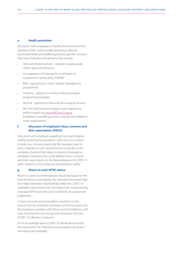#### **e. Health promotion**

Discussion with employee on health promotion activities tailored to their current health behaviours, lifestyle, emotional health and wellbeing and any specific concerns they have. Potential interventions may include:

- Diet and physical activity signpost to appropriate online apps and resources
- Consideration of multivitamin and Vitamin D supplements (particularly, if BAME)
- BMI signposting to online weight management programmes
- Smoking signpost to online smoking cessation programmes/websites
- Alcohol signpost to online alcohol support services
- MH First Aid/Emotional resilience and signpost to online support e.g. [www.llttf.com/corona](http://www.llttf.com/corona) Employee counselling services may also be available in some organisations

#### **f. Discussion of employee's ideas, concerns and their expectations (DEICE)**

Discussion with employee regarding their psychological wellbeing during this pandemic, their views on a return to work, any concerns practically (for example travel to work, childcare or care commitments) or specific to the workplace. Explore their ideas on practical strategies or workplace measures that could address these concerns and their expectations on the likely adequacy of COVID-19 work- related control measures and workplace safety.

#### **g. Return to work (RTW) advice**

Return to work recommendations should be based on the level of medical vulnerability risk (Standard-Increased-High-Very High-Extremely High/Shielder) AND the COVID-19 workplace transmission risk. See Figure 6 for corresponding individual RTW advice for each overall OH risk assessment judgement.

A return to work recommendation would be on the proviso that the employer maintains control measures and the employee complies with those recommendations until such time that the community and workplace risk from COVID-19 infection is reduced.

As the knowledge about COVID-19 risk develops further, risk assessments for individual and workplace risk factors will need to be reviewed.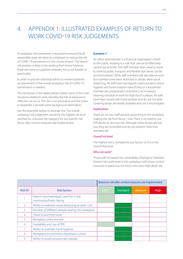# 4. APPENDIX 1: ILLUSTRATED EXAMPLES OF RETURN TO WORK COVID-19 RISK JUDGEMENTS

A workplace risk assessment is required to ensure that all reasonable steps are taken by employers to reduce the risk of COVID-19 transmission in the course of work. The lowest risk position is likely to be working from home however, there are many occupations whereby this is not feasible or practicable.

In order to provide individual advice to workers/patients, an assessment of the overall workplace risk of COVID-19 transmission is needed.

The risk factors in the tables below outline some of the main situations related to work whereby the risk of exposure to infection can occur. This list is not exhaustive and the notes in Appendix 2 provide some background information.

See the examples below to illustrate this. The overall workplace risk judgement would be the highest risk level reached (i.e. coloured risk category) for any specific risk factor, after control measures are implemented.

#### **Scenario 1**

An office administrator in a financial organisation closed to the public, working in a role that cannot be effectively carried out at home. The staff member does need to travel to work by public transport and flexible start times can be accommodated. Other staff members will also attend work but numbers have been restricted to always allow social distancing. All staff have had regular communication about hygiene and home isolation rules (if they or a household member are symptomatic) and there is an increased cleaning schedule at work for high touch surfaces. All staff have been issued with hand sanitiser and do not hot desk. Cleaning sprays are readily available and use is encouraged.

#### *Explanation:*

There are no non-staff persons presenting to the workplace making the risk from factor 1 low. There is no need to use PPE (factor 6), also low risk. Although other factors are not low, they are controlled and do not present more than standard risk.

#### *Overall risk level:*

The highest risk is Standard for any factors so this is the Overall Risk level.

#### *Who can work?*

Those with Increased risk vulnerability (Orange) or Standard (Green) risk could work in this workplace with these control measures in place but not those who have High (Red) risk.

|                |                                                                      | Based on risk after control measures are implemented |          |        |      |
|----------------|----------------------------------------------------------------------|------------------------------------------------------|----------|--------|------|
| <b>Risk ID</b> | <b>Risk factors</b>                                                  | Low $*$                                              | Standard | Medium | High |
|                | Patient care/Individuals cared for in the<br>community/Public facing |                                                      |          |        |      |
| $\overline{2}$ | Ability to maintain social distancing at work >2m                    |                                                      |          |        |      |
| 3              | Number of different people sharing the workplace                     |                                                      |          |        |      |
| $\overline{4}$ | Travel to and from work                                              |                                                      |          |        |      |
| 5              | Workplace entry and exit                                             |                                                      |          |        |      |
| 6              | Availability and use of PPE                                          |                                                      |          |        |      |
| 7              | Ability to maintain hand hygiene                                     |                                                      |          |        |      |
| 8              | Workplace environment cleanliness control                            |                                                      |          |        |      |
| 9              | Ability to avoid symptomatic people                                  |                                                      |          |        |      |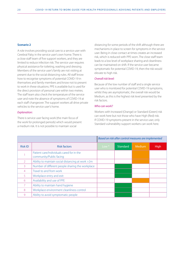#### **Scenario 2**

A role involves providing social care to a service user with Cerebral Palsy in the service user's own home. There is a close staff team of five support workers, and they are limited to reduce infection risk. The service user requires physical assistance for toileting, washing and dressing. Members of the service user's family are not visiting at present due to the social distancing rules. All staff know how to recognise symptoms of potential COVID-19 in themselves and family members and know not to present to work in these situations. PPE is available but is used for the direct provision of personal care within two metres. The staff team also check the temperature of the service user and note the absence of symptoms of COVID-19 at each staff changeover. The support workers all drive private vehicles to the service user's home.

#### *Explanation:*

There is service user facing work (the main focus of the work for prolonged periods) which would present a medium risk. It is not possible to maintain social

distancing for some periods of the shift although there are mechanisms in place to screen for symptoms in the service user. Being in close contact at times creates an increased risk, which is reduced with PPE worn. The close staff team leads to a low level of workplace sharing and cleanliness can be maintained on shift. If the service user became symptomatic for potential COVID-19, then the risk would elevate to high risk.

#### *Overall risk level:*

Because of the low number of staff and a single service user who is monitored for potential COVID-19 symptoms, whilst they are asymptomatic, the overall risk would be Medium, as this is the highest risk level presented by the risk factors.

#### *Who can work?*

Workers with Increased (Orange) or Standard (Green) risk can work here but not those who have High (Red) risk. If COVID-19 symptoms present in the service user, only Standard vulnerability support workers can work here.

|                |                                                                      | Based on risk after control measures are implemented |                 |               |      |
|----------------|----------------------------------------------------------------------|------------------------------------------------------|-----------------|---------------|------|
| <b>Risk ID</b> | <b>Risk factors</b>                                                  | Low $*$                                              | <b>Standard</b> | <b>Medium</b> | High |
|                | Patient care/Individuals cared for in the<br>community/Public facing |                                                      |                 |               |      |
| $\overline{2}$ | Ability to maintain social distancing at work >2m                    |                                                      |                 |               |      |
| 3              | Number of different people sharing the workplace                     |                                                      |                 |               |      |
| 4              | Travel to and from work                                              |                                                      |                 |               |      |
| 5              | Workplace entry and exit                                             |                                                      |                 |               |      |
| 6              | Availability and use of PPE                                          |                                                      |                 |               |      |
| 7              | Ability to maintain hand hygiene                                     |                                                      |                 |               |      |
| 8              | Workplace environment cleanliness control                            |                                                      |                 |               |      |
| 9              | Ability to avoid symptomatic people                                  |                                                      |                 |               |      |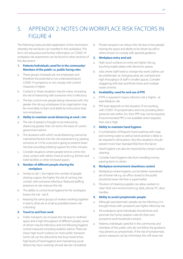# 5. APPENDIX 2: NOTES ON WORKPLACE RISK FACTORS IN FIGURE 4

The following notes provide explanation of the mechanism whereby the risk factor can manifest in the workplace. This list is not exhaustive and further information on COVID-19 workplace risk assessment can be found in other sections of this document.

#### **1. Patients/Individuals cared for in the community/ Members of the public i.e. public facing roles**

- a. These groups of people are not employees and therefore the potential to not understand/report COVID-19 symptoms or not comply with control measures is higher
- b. Contacts in these situations may be many, increasing the risk of interacting with someone who is infectious
- c. The less control over people being interacted with, the greater the risk e.g. employees of an organisation may be more likely to learn and abide by instructions than non-employees

#### **2. Ability to maintain social distancing at work >2m**

- a. The risk of spread is thought to be reduced by distancing greater than 2m and is the basis of current government advice
- b. The durations with which social distancing cannot be maintained factors into the risk assessment e.g. passing someone at 1m for a second is going to present lower risk than providing toileting support for a few minutes
- c. Consider situations where people tend to come into close contact with others more at work e.g. kitchen and toilet facilities or other enclosed spaces

#### **3. Number of different people sharing the workplace**

- a. Similar to risk 1, the higher the number of people sharing a space, the higher the risk of coming into contact with someone infectious. Reduced staffing presence on site reduces this risk
- b. The ability to control local hygiene for the workspace lowers the risk - see 8
- c. Keeping the same groups of workers working together in teams, (that are as small as possible) lowers risk - 'cohorting'

#### **4. Travel to and from work**

a. Public transport can increase the risk due to confined space and a high throughput of different people, some of whom may be infectious and not following hygiene control measures including isolation advice. There are many 'high touch' surfaces on most public transport. Some risk can be reduced by less busy travel times, high levels of hand hygiene and maintaining social distancing. Face coverings should also be considered

b. Private transport can reduce the risk due to less people sharing the space and ability to be driven by self or others known to comply with general guidance

#### **5. Workplace entry and exit**

- a. High touch surfaces on entry are higher risk e.g. touching reader plates with electronic passes
- b. Jobs where staff need to change into work clothes can be problematic as changing areas are cramped and high throughput of staff in smaller spaces. Consider staggering shift start and finish times and multiple routes of entry

#### **6. Availability, need for and use of PPE**

- a. If PPE is required it means infection risk is higher at least Medium risk
- b. PPE level depends on the situation. If not working with COVID-19 symptomatics and not providing direct personal care within 2m, then PPE may not be required. If recommended PPE is not available when required, then risk is High

#### **7. Ability to maintain hand hygiene**

- a. A combination of frequent hand washing with soap and running water as well as hand sanitiser is likely to be required in all locations. Very few situations should present more than Standard Risk from this factor
- b. Hand hygiene can also be improved by contact surface cleaning
- c. Consider hand hygiene risks from handling money, passing items to others

#### **8. Workplace environment cleanliness control**

- a. Workplaces where hygiene can be better maintained are of lower risk e.g. an office closed to the public should be lower risk than a supermarket
- b. Provision of cleaning supplies can allow workers to clean their own environment e.g. desk, phone, PC, door handles

#### **9. Ability to avoid symptomatic people**

- a. Although asymptomatic people can be infectious, it is thought those with symptoms are higher infectivity risk
- a. All workplaces (and individuals) should know and promote the home isolation rules for their own symptoms and household contacts
- a. Patients, individuals cared for in the community and members of the public who do not follow the guidance may present as symptomatic. If the risk of symptomatic person exposure can be minimised, this will lower risk